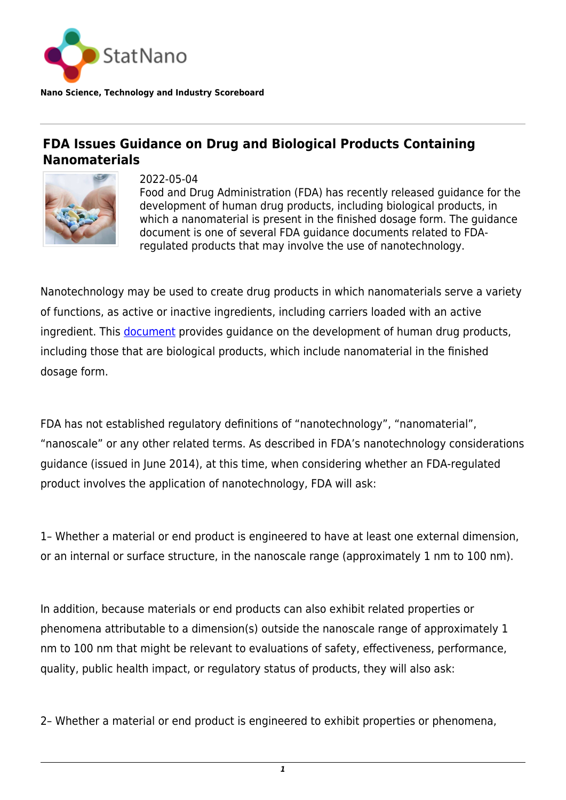

**Nano Science, Technology and Industry Scoreboard**

## **FDA Issues Guidance on Drug and Biological Products Containing Nanomaterials**



2022-05-04 Food and Drug Administration (FDA) has recently released guidance for the development of human drug products, including biological products, in which a nanomaterial is present in the finished dosage form. The guidance document is one of several FDA guidance documents related to FDAregulated products that may involve the use of nanotechnology.

Nanotechnology may be used to create drug products in which nanomaterials serve a variety of functions, as active or inactive ingredients, including carriers loaded with an active ingredient. This [document](https://statnano.com/policydocument/1252) provides guidance on the development of human drug products, including those that are biological products, which include nanomaterial in the finished dosage form.

FDA has not established regulatory definitions of "nanotechnology", "nanomaterial", "nanoscale" or any other related terms. As described in FDA's nanotechnology considerations guidance (issued in June 2014), at this time, when considering whether an FDA-regulated product involves the application of nanotechnology, FDA will ask:

1– Whether a material or end product is engineered to have at least one external dimension, or an internal or surface structure, in the nanoscale range (approximately 1 nm to 100 nm).

In addition, because materials or end products can also exhibit related properties or phenomena attributable to a dimension(s) outside the nanoscale range of approximately 1 nm to 100 nm that might be relevant to evaluations of safety, effectiveness, performance, quality, public health impact, or regulatory status of products, they will also ask:

2– Whether a material or end product is engineered to exhibit properties or phenomena,